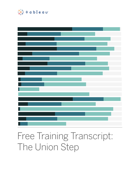

# Free Training Transcript: The Union Step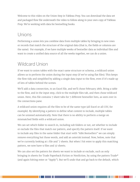Welcome to this video on the Union Step in Tableau Prep. You can download the data set and packaged flow file underneath the video to follow along in your own copy of Tableau Prep. We're working with data for bestselling books.

## Unions

Performing a union lets you combine data from multiple tables by bringing in new rows or records that match the structure of the original data (that is, the fields or columns are the same). For example, if we have multiple weeks of bestseller data as individual files and want to create a unified data source of all the weeks together, we can do a union.

## Wildcard Union

If we want to union tables with the exact same structure or schema, a wildcard union allows us to perform the union during the input step (if we're using flat files). This keeps the flow tidy and simplified by adding a single data input to the flow, even if it's made up of lots of tables behind the scenes.

We'll add a data connection, to an Excel file, and we'll chose February 28th. Bring a table to the flow, and in the input step, click to the multiple files tab, and then chose wildcard union. Here, this file contains 7 sheet tabs for 7 different bestseller lists, as seen over in the connections pane.

A wildcard union requires all the files to be of the same type (all Excel or all CSV, for example). By identifying a pattern to define what content to include, multiple tables can be unioned automatically. Note that there is no ability to perform a merge on mismatched fields with a wildcard union.

We can set which folder to search in, including sub folders or not, set whether to include or exclude the files that match our pattern, and specify the pattern itself. If we want to include any files in the same folder that start with "ABA Bestsellers" we can simply remove everything but those words, and add an asterisk instead. Now, below, note that we're currently looking at 1 file and `7 sheets. But when I hit enter to apply this matching pattern, we now have 9 files and 37 sheets.

We can also set the pattern for sheets we want to include or exclude, such as only bringing in sheets for Trade Paperback Fiction or Nonfiction, by using the pattern Trade\* (and again hitting enter or "Apply"). But we'll undo that and go back to the default, which

a sa na mara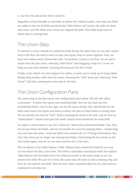is just this file and all the sheets inside it.

Regardless of how broadly or narrowly we define the wildcard union, note that two fields are added to the list of fields automatically. Table Names will convey the table (or sheet tab) name, and File Paths will convey the original file path. This helps keep track of where data is coming from.

#### The Union Step

To perform a union outside of a wildcard union during the input step, we can add a union step to the flow. We need to have at least two inputs steps to union together. Here, we have four weeks worth of bestseller data. To perform a union in the flow, we can add a union from the plus menu, selecting "Add Union" and dragging a step to it, or we can drag one step onto another, choosing the drop area for New Union.

Unlike a join, which can only support two tables, a union can be made up of many tables. Simply drag another table onto the union, choosing the "add" drop area. Selecting "New Union" will add a subsequent union step in the flow.

#### The Union Configuration Pane

The union step in the flow opens the configuration pane below. The left side offers a summary--it shows the inputs and resulting fields. Here we see there are two mismatched fields. Over to the right, we see the union results. The colored bars on the field cards match the inputs and show us where the data in these fields is coming from. We can quickly see that the "Info" field is missing the week of the 14th, and we have an "Information" column from just that week. Clearly these should be the same field.

To make it a little easier to see, let's check the "Show only mismatched fields" box. Now we see just those two fields, and we can resolve the issue by merging them--simply drag one card onto the other. I want the field to be named Info, so I'll bring Information onto Info. Now there are no longer any mismatched fields. Unchecking the box shows us the full results again, and we can see each card has all 4 color bars.

The exception is this Table Names-1 field. Tableau Prep created this field for us so we can see where the data came from. This field is redundant information with the original Table Names and File Paths (from the wildcard unions in the input steps) so we can remove this field. We can't do it from the union step, We need to add a cleaning step and then we can remove that field. Now we have clean, consistent data for all 4 data sources combined in one data set.

u u